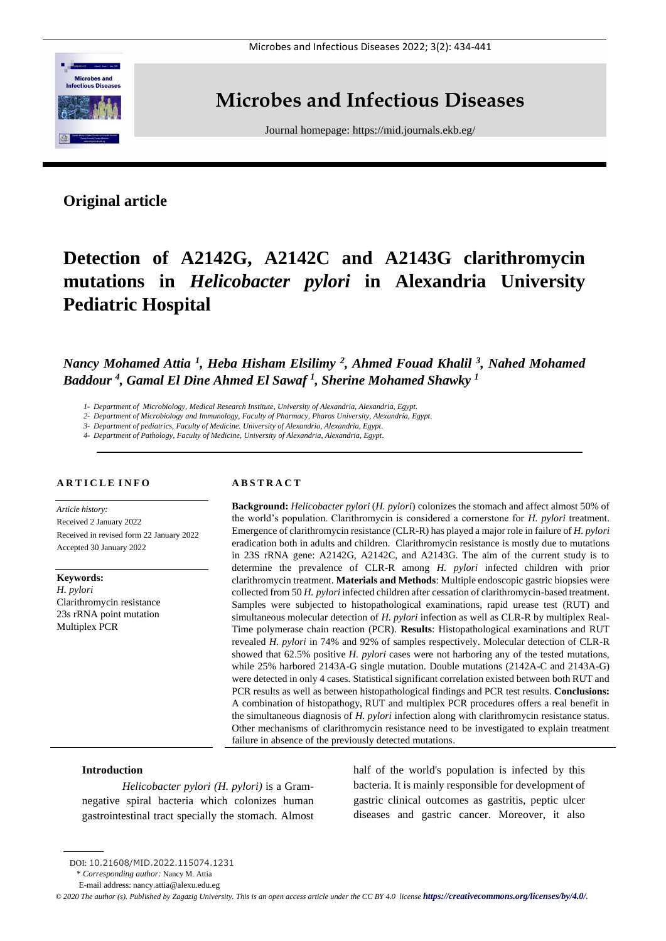

# **Microbes and Infectious Diseases**

Journal homepage:<https://mid.journals.ekb.eg/>

# **Original article**

# **Detection of A2142G, A2142C and A2143G clarithromycin mutations in** *Helicobacter pylori* **in Alexandria University Pediatric Hospital**

*Nancy Mohamed Attia <sup>1</sup> , Heba Hisham Elsilimy <sup>2</sup> , Ahmed Fouad Khalil <sup>3</sup> , Nahed Mohamed Baddour <sup>4</sup> , Gamal El Dine Ahmed El Sawaf <sup>1</sup> , Sherine Mohamed Shawky <sup>1</sup>*

*1- Department of Microbiology, Medical Research Institute, University of Alexandria, Alexandria, Egypt.*

*2- Department of Microbiology and Immunology, Faculty of Pharmacy, Pharos University, Alexandria, Egypt.*

*3- Department of pediatrics, Faculty of Medicine. University of Alexandria, Alexandria, Egypt.*

*4- Department of Pathology, Faculty of Medicine, University of Alexandria, Alexandria, Egypt.*

### **A R T I C L E I N F O**

*Article history:*  Received 2 January 2022 Received in revised form 22 January 2022 Accepted 30 January 2022

**Keywords:** *H. pylori* Clarithromycin resistance 23s rRNA point mutation Multiplex PCR

# **A B S T R A C T**

**Background:** *Helicobacter pylori* (*H. pylori*) colonizes the stomach and affect almost 50% of the world's population. Clarithromycin is considered a cornerstone for *H. pylori* treatment. Emergence of clarithromycin resistance (CLR-R) has played a major role in failure of *H. pylori* eradication both in adults and children. Clarithromycin resistance is mostly due to mutations in 23S rRNA gene: A2142G, A2142C, and A2143G. The aim of the current study is to determine the prevalence of CLR-R among *H. pylori* infected children with prior clarithromycin treatment. **Materials and Methods**: Multiple endoscopic gastric biopsies were collected from 50 *H. pylori* infected children after cessation of clarithromycin-based treatment. Samples were subjected to histopathological examinations, rapid urease test (RUT) and simultaneous molecular detection of *H. pylori* infection as well as CLR-R by multiplex Real-Time polymerase chain reaction (PCR). **Results**: Histopathological examinations and RUT revealed *H. pylori* in 74% and 92% of samples respectively. Molecular detection of CLR-R showed that 62.5% positive *H. pylori* cases were not harboring any of the tested mutations, while 25% harbored 2143A-G single mutation. Double mutations (2142A-C and 2143A-G) were detected in only 4 cases. Statistical significant correlation existed between both RUT and PCR results as well as between histopathological findings and PCR test results. **Conclusions:** A combination of histopathogy, RUT and multiplex PCR procedures offers a real benefit in the simultaneous diagnosis of *H. pylori* infection along with clarithromycin resistance status. Other mechanisms of clarithromycin resistance need to be investigated to explain treatment failure in absence of the previously detected mutations.

### **Introduction**

*Helicobacter pylori (H. pylori)* is a Gramnegative spiral bacteria which colonizes human gastrointestinal tract specially the stomach. Almost half of the world's population is infected by this bacteria. It is mainly responsible for development of gastric clinical outcomes as gastritis, peptic ulcer diseases and gastric cancer. Moreover, it also

DOI: 10.21608/MID.2022.115074.1231

<sup>\*</sup> *Corresponding author:* Nancy M. Attia

E-mail address: nancy.attia@alexu.edu.eg

 $\degree$  2020 The author (s). Published by Zagazig University. This is an open access article under the CC BY 4.0 license **<https://creativecommons.org/licenses/by/4.0/>***.*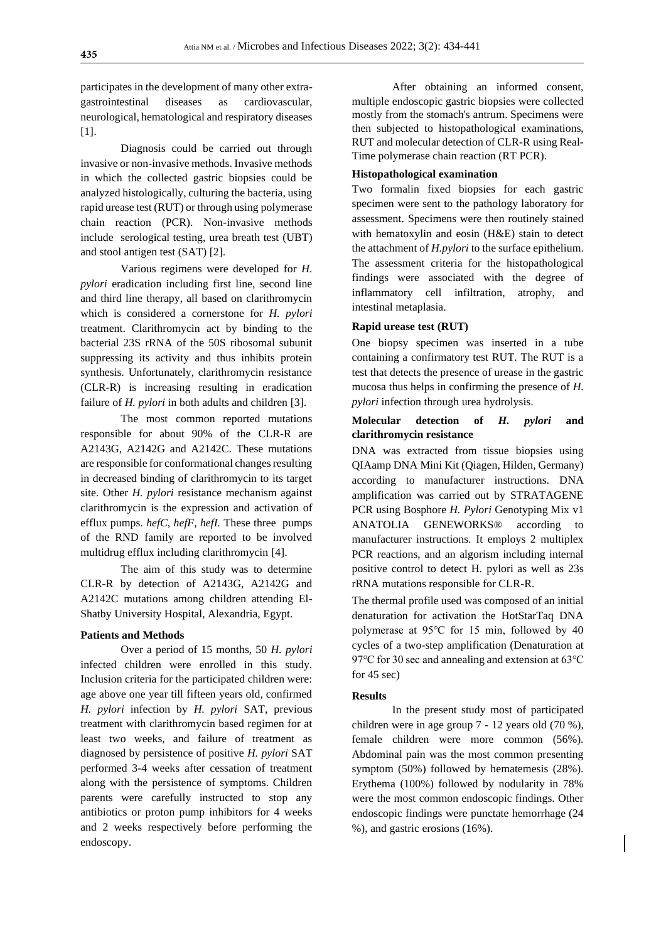participates in the development of many other extragastrointestinal diseases as cardiovascular, neurological, hematological and respiratory diseases [1].

Diagnosis could be carried out through invasive or non-invasive methods. Invasive methods in which the collected gastric biopsies could be analyzed histologically, culturing the bacteria, using rapid urease test (RUT) or through using polymerase chain reaction (PCR). Non-invasive methods include serological testing, urea breath test (UBT) and stool antigen test (SAT) [2].

Various regimens were developed for *H. pylori* eradication including first line, second line and third line therapy, all based on clarithromycin which is considered a cornerstone for *H. pylori* treatment. Clarithromycin act by binding to the bacterial 23S rRNA of the 50S ribosomal subunit suppressing its activity and thus inhibits protein synthesis. Unfortunately, clarithromycin resistance (CLR-R) is increasing resulting in eradication failure of *H. pylori* in both adults and children [3].

The most common reported mutations responsible for about 90% of the CLR-R are A2143G, A2142G and A2142C. These mutations are responsible for conformational changes resulting in decreased binding of clarithromycin to its target site. Other *H. pylori* resistance mechanism against clarithromycin is the expression and activation of efflux pumps. *hefC*, *hefF*, *hefI.* These three pumps of the RND family are reported to be involved multidrug efflux including clarithromycin [4].

The aim of this study was to determine CLR-R by detection of A2143G, A2142G and A2142C mutations among children attending El-Shatby University Hospital, Alexandria, Egypt.

#### **Patients and Methods**

Over a period of 15 months, 50 *H. pylori* infected children were enrolled in this study. Inclusion criteria for the participated children were: age above one year till fifteen years old, confirmed *H. pylori* infection by *H. pylori* SAT, previous treatment with clarithromycin based regimen for at least two weeks, and failure of treatment as diagnosed by persistence of positive *H. pylori* SAT performed 3-4 weeks after cessation of treatment along with the persistence of symptoms. Children parents were carefully instructed to stop any antibiotics or proton pump inhibitors for 4 weeks and 2 weeks respectively before performing the endoscopy.

After obtaining an informed consent, multiple endoscopic gastric biopsies were collected mostly from the stomach's antrum. Specimens were then subjected to histopathological examinations, RUT and molecular detection of CLR-R using Real-Time polymerase chain reaction (RT PCR).

# **Histopathological examination**

Two formalin fixed biopsies for each gastric specimen were sent to the pathology laboratory for assessment. Specimens were then routinely stained with hematoxylin and eosin (H&E) stain to detect the attachment of *H.pylori* to the surface epithelium. The assessment criteria for the histopathological findings were associated with the degree of inflammatory cell infiltration, atrophy, and intestinal metaplasia.

### **Rapid urease test (RUT)**

One biopsy specimen was inserted in a tube containing a confirmatory test RUT. The RUT is a test that detects the presence of urease in the gastric mucosa thus helps in confirming the presence of *H. pylori* infection through urea hydrolysis.

# **Molecular detection of** *H. pylori* **and clarithromycin resistance**

DNA was extracted from tissue biopsies using QIAamp DNA Mini Kit (Qiagen, Hilden, Germany) according to manufacturer instructions. DNA amplification was carried out by STRATAGENE PCR using Bosphore *H. Pylori* Genotyping Mix v1 ANATOLIA GENEWORKS® according to manufacturer instructions. It employs 2 multiplex PCR reactions, and an algorism including internal positive control to detect H. pylori as well as 23s rRNA mutations responsible for CLR-R.

The thermal profile used was composed of an initial denaturation for activation the HotStarTaq DNA polymerase at 95℃ for 15 min, followed by 40 cycles of a two-step amplification (Denaturation at 97°C for 30 sec and annealing and extension at 63°C for 45 sec)

### **Results**

In the present study most of participated children were in age group 7 - 12 years old (70 %), female children were more common (56%). Abdominal pain was the most common presenting symptom (50%) followed by hematemesis (28%). Erythema (100%) followed by nodularity in 78% were the most common endoscopic findings. Other endoscopic findings were punctate hemorrhage (24 %), and gastric erosions (16%).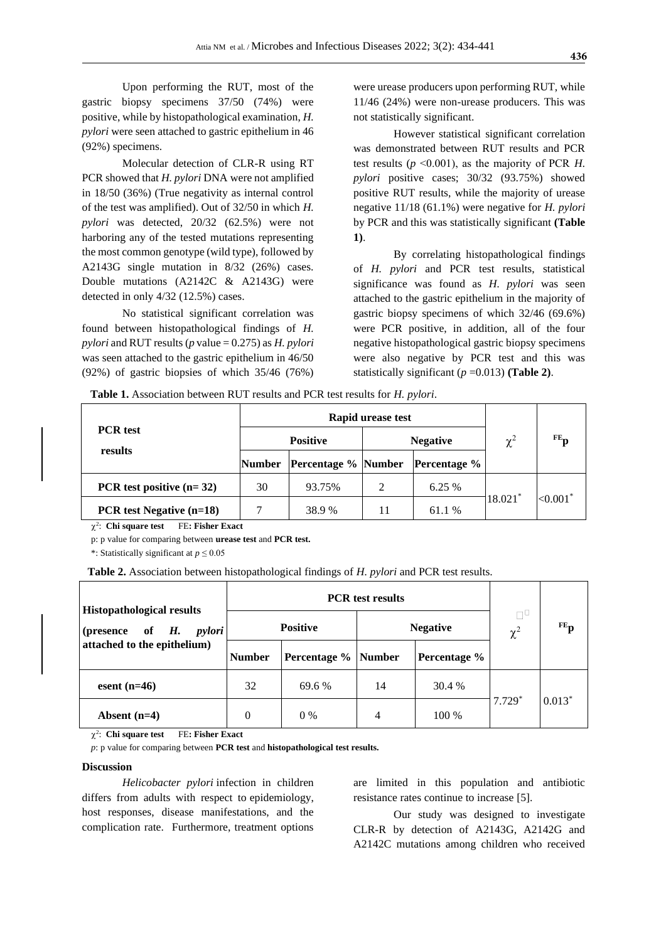Upon performing the RUT, most of the gastric biopsy specimens 37/50 (74%) were positive, while by histopathological examination, *H. pylori* were seen attached to gastric epithelium in 46 (92%) specimens.

Molecular detection of CLR-R using RT PCR showed that *H. pylori* DNA were not amplified in 18/50 (36%) (True negativity as internal control of the test was amplified). Out of 32/50 in which *H. pylori* was detected, 20/32 (62.5%) were not harboring any of the tested mutations representing the most common genotype (wild type), followed by A2143G single mutation in 8/32 (26%) cases. Double mutations (A2142C & A2143G) were detected in only 4/32 (12.5%) cases.

No statistical significant correlation was found between histopathological findings of *H. pylori* and RUT results (*p* value = 0.275) as *H. pylori* was seen attached to the gastric epithelium in 46/50 (92%) of gastric biopsies of which 35/46 (76%)

were urease producers upon performing RUT, while 11/46 (24%) were non-urease producers. This was not statistically significant.

However statistical significant correlation was demonstrated between RUT results and PCR test results ( $p \le 0.001$ ), as the majority of PCR *H*. *pylori* positive cases; 30/32 (93.75%) showed positive RUT results, while the majority of urease negative 11/18 (61.1%) were negative for *H. pylori* by PCR and this was statistically significant **(Table 1)**.

By correlating histopathological findings of *H. pylori* and PCR test results, statistical significance was found as *H. pylori* was seen attached to the gastric epithelium in the majority of gastric biopsy specimens of which 32/46 (69.6%) were PCR positive, in addition, all of the four negative histopathological gastric biopsy specimens were also negative by PCR test and this was statistically significant  $(p=0.013)$  (**Table 2**).

 **Table 1.** Association between RUT results and PCR test results for *H. pylori*.

| <b>PCR</b> test<br>results      |                 | Rapid urease test          | $\chi^2$       | $FE_{n}$            |                 |                        |
|---------------------------------|-----------------|----------------------------|----------------|---------------------|-----------------|------------------------|
|                                 | <b>Positive</b> |                            |                |                     | <b>Negative</b> |                        |
|                                 | <b>Number</b>   | <b>Percentage % Number</b> |                | <b>Percentage</b> % |                 |                        |
| PCR test positive $(n=32)$      | 30              | 93.75%                     | $\mathfrak{D}$ | 6.25 %              | 18.021*         | $< 0.001$ <sup>*</sup> |
| <b>PCR</b> test Negative (n=18) |                 | 38.9 %                     | 11             | 61.1 %              |                 |                        |

 $\chi^2$ : Chi square test FE: Fisher Exact

p: p value for comparing between **urease test** and **PCR test.**

\*: Statistically significant at  $p \le 0.05$ 

 **Table 2.** Association between histopathological findings of *H. pylori* and PCR test results.

| <b>Histopathological results</b><br>(presence of $H$ .<br><i>pylori</i><br>attached to the epithelium) |                 |                       |                 |              |                |                   |
|--------------------------------------------------------------------------------------------------------|-----------------|-----------------------|-----------------|--------------|----------------|-------------------|
|                                                                                                        | <b>Positive</b> |                       | <b>Negative</b> |              | ΠP<br>$\chi^2$ | $FE$ <sub>p</sub> |
|                                                                                                        | <b>Number</b>   | Percentage %   Number |                 | Percentage % |                |                   |
| esent $(n=46)$                                                                                         | 32              | 69.6 %                | 14              | 30.4 %       | $7.729*$       | $0.013*$          |
| Absent $(n=4)$                                                                                         | $\Omega$        | $0\%$                 | 4               | 100 %        |                |                   |

 $\chi^2$ : Chi square test FE**: Fisher Exact**

*p*: p value for comparing between **PCR test** and **histopathological test results.** 

#### **Discussion**

*Helicobacter pylori* infection in children differs from adults with respect to epidemiology, host responses, disease manifestations, and the complication rate. Furthermore, treatment options are limited in this population and antibiotic resistance rates continue to increase [5].

Our study was designed to investigate CLR-R by detection of A2143G, A2142G and A2142C mutations among children who received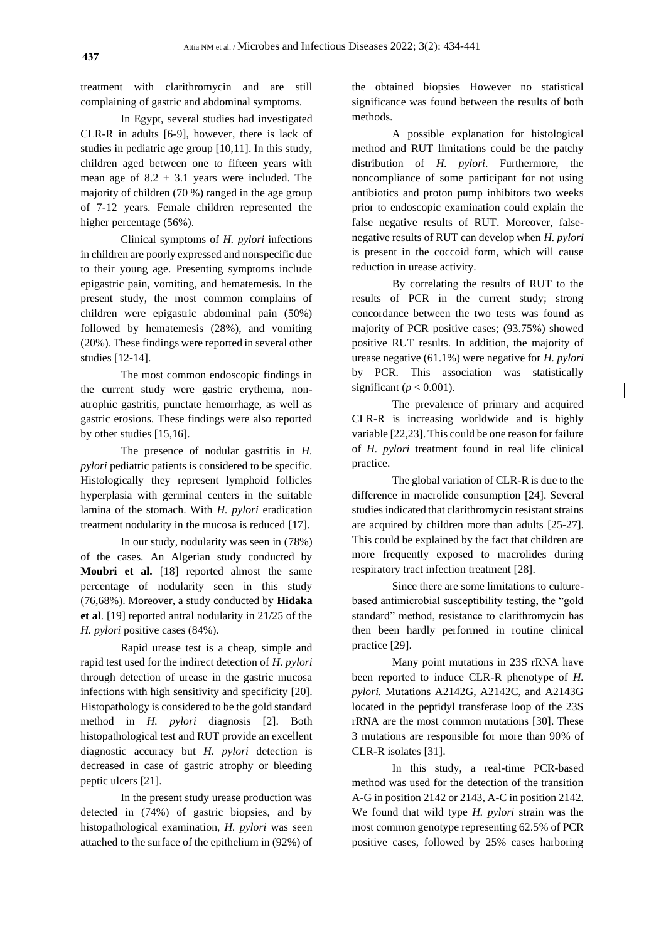treatment with clarithromycin and are still complaining of gastric and abdominal symptoms.

In Egypt, several studies had investigated CLR-R in adults [6-9], however, there is lack of studies in pediatric age group [10,11]. In this study, children aged between one to fifteen years with mean age of  $8.2 \pm 3.1$  years were included. The majority of children (70 %) ranged in the age group of 7-12 years. Female children represented the higher percentage (56%).

Clinical symptoms of *H. pylori* infections in children are poorly expressed and nonspecific due to their young age. Presenting symptoms include epigastric pain, vomiting, and hematemesis. In the present study, the most common complains of children were epigastric abdominal pain (50%) followed by hematemesis (28%), and vomiting (20%). These findings were reported in several other studies [12-14].

The most common endoscopic findings in the current study were gastric erythema, nonatrophic gastritis, punctate hemorrhage, as well as gastric erosions. These findings were also reported by other studies [15,16].

The presence of nodular gastritis in *H. pylori* pediatric patients is considered to be specific. Histologically they represent lymphoid follicles hyperplasia with germinal centers in the suitable lamina of the stomach. With *H. pylori* eradication treatment nodularity in the mucosa is reduced [17].

In our study, nodularity was seen in (78%) of the cases. An Algerian study conducted by **Moubri et al.** [18] reported almost the same percentage of nodularity seen in this study (76,68%). Moreover, a study conducted by **Hidaka et al**. [19] reported antral nodularity in 21/25 of the *H. pylori* positive cases (84%).

Rapid urease test is a cheap, simple and rapid test used for the indirect detection of *H. pylori* through detection of urease in the gastric mucosa infections with high sensitivity and specificity [20]. Histopathology is considered to be the gold standard method in *H. pylori* diagnosis [2]. Both histopathological test and RUT provide an excellent diagnostic accuracy but *H. pylori* detection is decreased in case of gastric atrophy or bleeding peptic ulcers [21].

In the present study urease production was detected in (74%) of gastric biopsies, and by histopathological examination, *H. pylori* was seen attached to the surface of the epithelium in (92%) of the obtained biopsies However no statistical significance was found between the results of both methods.

A possible explanation for histological method and RUT limitations could be the patchy distribution of *H. pylori*. Furthermore, the noncompliance of some participant for not using antibiotics and proton pump inhibitors two weeks prior to endoscopic examination could explain the false negative results of RUT. Moreover, falsenegative results of RUT can develop when *H. pylori* is present in the coccoid form, which will cause reduction in urease activity.

By correlating the results of RUT to the results of PCR in the current study; strong concordance between the two tests was found as majority of PCR positive cases; (93.75%) showed positive RUT results. In addition, the majority of urease negative (61.1%) were negative for *H. pylori* by PCR. This association was statistically significant ( $p < 0.001$ ).

The prevalence of primary and acquired CLR-R is increasing worldwide and is highly variable [22,23]. This could be one reason for failure of *H. pylori* treatment found in real life clinical practice.

The global variation of CLR-R is due to the difference in macrolide consumption [24]. Several studies indicated that clarithromycin resistant strains are acquired by children more than adults [25-27]. This could be explained by the fact that children are more frequently exposed to macrolides during respiratory tract infection treatment [28].

Since there are some limitations to culturebased antimicrobial susceptibility testing, the "gold standard" method, resistance to clarithromycin has then been hardly performed in routine clinical practice [29].

Many point mutations in 23S rRNA have been reported to induce CLR-R phenotype of *H. pylori.* Mutations A2142G, A2142C, and A2143G located in the peptidyl transferase loop of the 23S rRNA are the most common mutations [30]. These 3 mutations are responsible for more than 90% of CLR-R isolates [31].

In this study, a real-time PCR-based method was used for the detection of the transition A-G in position 2142 or 2143, A-C in position 2142. We found that wild type *H. pylori* strain was the most common genotype representing 62.5% of PCR positive cases, followed by 25% cases harboring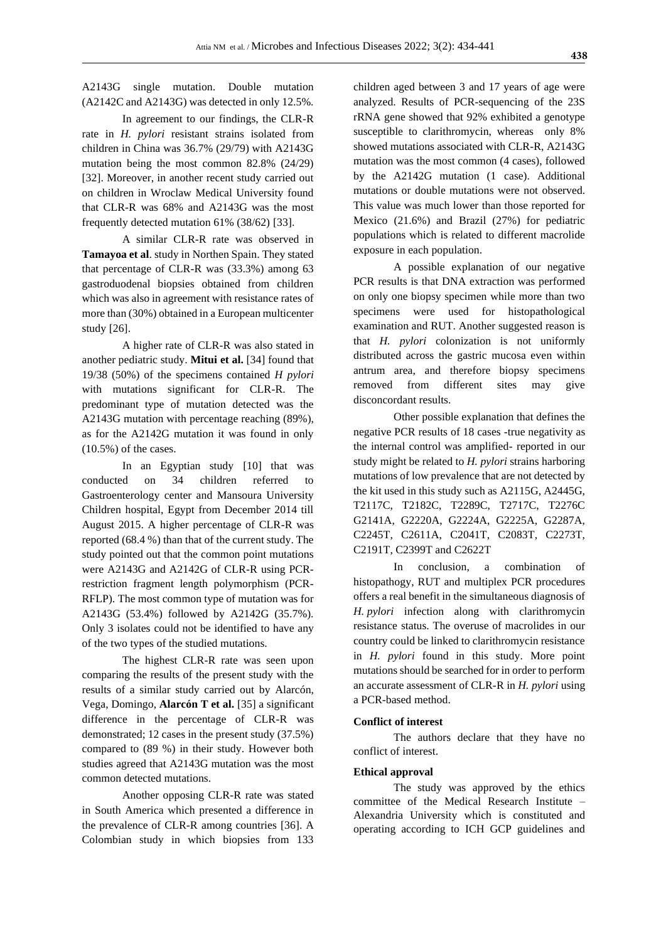A2143G single mutation. Double mutation (A2142C and A2143G) was detected in only 12.5%.

In agreement to our findings, the CLR-R rate in *H. pylori* resistant strains isolated from children in China was 36.7% (29/79) with A2143G mutation being the most common 82.8% (24/29) [32]. Moreover, in another recent study carried out on children in Wroclaw Medical University found that CLR-R was 68% and A2143G was the most frequently detected mutation 61% (38/62) [33].

A similar CLR-R rate was observed in **Tamayoa et al**. study in Northen Spain. They stated that percentage of CLR-R was (33.3%) among 63 gastroduodenal biopsies obtained from children which was also in agreement with resistance rates of more than (30%) obtained in a European multicenter study [26].

A higher rate of CLR-R was also stated in another pediatric study. **Mitui et al.** [34] found that 19/38 (50%) of the specimens contained *H pylori* with mutations significant for CLR-R. The predominant type of mutation detected was the A2143G mutation with percentage reaching (89%), as for the A2142G mutation it was found in only  $(10.5\%)$  of the cases.

In an Egyptian study [10] that was conducted on 34 children referred to Gastroenterology center and Mansoura University Children hospital, Egypt from December 2014 till August 2015. A higher percentage of CLR-R was reported (68.4 %) than that of the current study. The study pointed out that the common point mutations were A2143G and A2142G of CLR-R using PCRrestriction fragment length polymorphism (PCR-RFLP). The most common type of mutation was for A2143G (53.4%) followed by A2142G (35.7%). Only 3 isolates could not be identified to have any of the two types of the studied mutations.

The highest CLR-R rate was seen upon comparing the results of the present study with the results of a similar study carried out by Alarcón, Vega, Domingo, **Alarcón T et al.** [35] a significant difference in the percentage of CLR-R was demonstrated; 12 cases in the present study (37.5%) compared to (89 %) in their study. However both studies agreed that A2143G mutation was the most common detected mutations.

Another opposing CLR-R rate was stated in South America which presented a difference in the prevalence of CLR-R among countries [36]. A Colombian study in which biopsies from 133 children aged between 3 and 17 years of age were analyzed. Results of PCR-sequencing of the 23S rRNA gene showed that 92% exhibited a genotype susceptible to clarithromycin, whereas only 8% showed mutations associated with CLR-R, A2143G mutation was the most common (4 cases), followed by the A2142G mutation (1 case). Additional mutations or double mutations were not observed. This value was much lower than those reported for Mexico (21.6%) and Brazil (27%) for pediatric populations which is related to different macrolide exposure in each population.

A possible explanation of our negative PCR results is that DNA extraction was performed on only one biopsy specimen while more than two specimens were used for histopathological examination and RUT. Another suggested reason is that *H. pylori* colonization is not uniformly distributed across the gastric mucosa even within antrum area, and therefore biopsy specimens removed from different sites may give disconcordant results.

Other possible explanation that defines the negative PCR results of 18 cases -true negativity as the internal control was amplified- reported in our study might be related to *H. pylori* strains harboring mutations of low prevalence that are not detected by the kit used in this study such as A2115G, A2445G, T2117C, T2182C, T2289C, T2717C, T2276C G2141A, G2220A, G2224A, G2225A, G2287A, C2245T, C2611A, C2041T, C2083T, C2273T, C2191T, C2399T and C2622T

In conclusion, a combination of histopathogy, RUT and multiplex PCR procedures offers a real benefit in the simultaneous diagnosis of *H. pylori* infection along with clarithromycin resistance status. The overuse of macrolides in our country could be linked to clarithromycin resistance in *H. pylori* found in this study. More point mutations should be searched for in order to perform an accurate assessment of CLR-R in *H. pylori* using a PCR-based method.

#### **Conflict of interest**

The authors declare that they have no conflict of interest.

#### **Ethical approval**

The study was approved by the ethics committee of the Medical Research Institute – Alexandria University which is constituted and operating according to ICH GCP guidelines and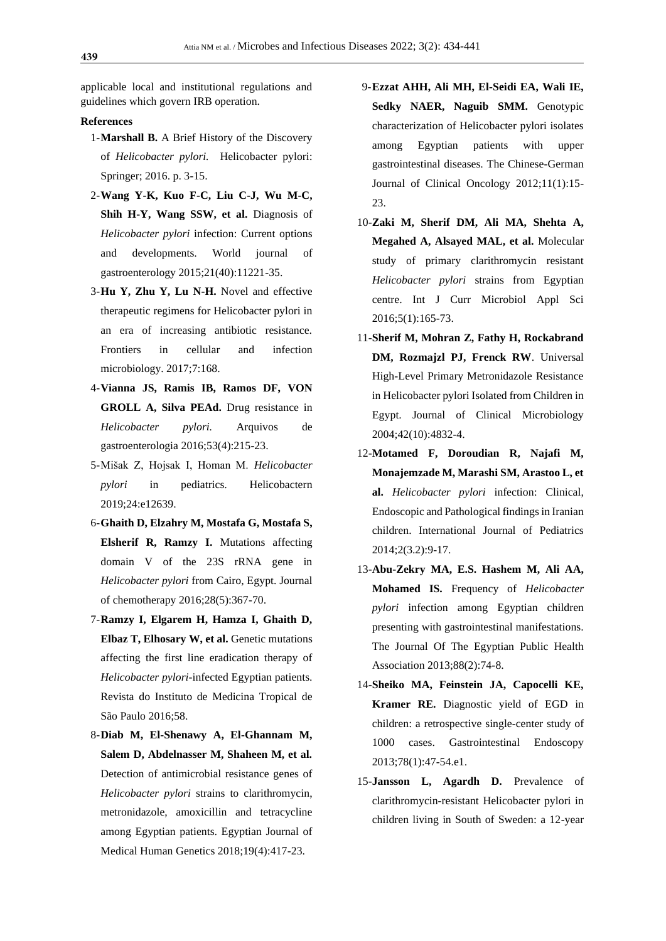applicable local and institutional regulations and guidelines which govern IRB operation.

#### **References**

- 1-**Marshall B.** A Brief History of the Discovery of *Helicobacter pylori.* Helicobacter pylori: Springer; 2016. p. 3-15.
- 2-**Wang Y-K, Kuo F-C, Liu C-J, Wu M-C, Shih H-Y, Wang SSW, et al.** Diagnosis of *Helicobacter pylori* infection: Current options and developments. World journal of gastroenterology 2015;21(40):11221-35.
- 3-**Hu Y, Zhu Y, Lu N-H.** Novel and effective therapeutic regimens for Helicobacter pylori in an era of increasing antibiotic resistance. Frontiers in cellular and infection microbiology. 2017;7:168.
- 4-**Vianna JS, Ramis IB, Ramos DF, VON GROLL A, Silva PEAd.** Drug resistance in *Helicobacter pylori.* Arquivos de gastroenterologia 2016;53(4):215-23.
- 5-Mišak Z, Hojsak I, Homan M. *Helicobacter pylori* in pediatrics. Helicobactern 2019;24:e12639.
- 6-**Ghaith D, Elzahry M, Mostafa G, Mostafa S, Elsherif R, Ramzy I.** Mutations affecting domain V of the 23S rRNA gene in *Helicobacter pylori* from Cairo, Egypt. Journal of chemotherapy 2016;28(5):367-70.
- 7-**Ramzy I, Elgarem H, Hamza I, Ghaith D, Elbaz T, Elhosary W, et al.** Genetic mutations affecting the first line eradication therapy of *Helicobacter pylori*-infected Egyptian patients. Revista do Instituto de Medicina Tropical de São Paulo 2016;58.
- 8-**Diab M, El-Shenawy A, El-Ghannam M, Salem D, Abdelnasser M, Shaheen M, et al.** Detection of antimicrobial resistance genes of *Helicobacter pylori* strains to clarithromycin, metronidazole, amoxicillin and tetracycline among Egyptian patients. Egyptian Journal of Medical Human Genetics 2018;19(4):417-23.
- 9-**Ezzat AHH, Ali MH, El-Seidi EA, Wali IE, Sedky NAER, Naguib SMM.** Genotypic characterization of Helicobacter pylori isolates among Egyptian patients with upper gastrointestinal diseases. The Chinese-German Journal of Clinical Oncology 2012;11(1):15- 23.
- 10-**Zaki M, Sherif DM, Ali MA, Shehta A, Megahed A, Alsayed MAL, et al.** Molecular study of primary clarithromycin resistant *Helicobacter pylori* strains from Egyptian centre. Int J Curr Microbiol Appl Sci 2016;5(1):165-73.
- 11-**Sherif M, Mohran Z, Fathy H, Rockabrand DM, Rozmajzl PJ, Frenck RW**. Universal High-Level Primary Metronidazole Resistance in Helicobacter pylori Isolated from Children in Egypt. Journal of Clinical Microbiology 2004;42(10):4832-4.
- 12-**Motamed F, Doroudian R, Najafi M, Monajemzade M, Marashi SM, Arastoo L, et al.** *Helicobacter pylori* infection: Clinical, Endoscopic and Pathological findings in Iranian children. International Journal of Pediatrics 2014;2(3.2):9-17.
- 13-**Abu-Zekry MA, E.S. Hashem M, Ali AA, Mohamed IS.** Frequency of *Helicobacter pylori* infection among Egyptian children presenting with gastrointestinal manifestations. The Journal Of The Egyptian Public Health Association 2013;88(2):74-8.
- 14-**Sheiko MA, Feinstein JA, Capocelli KE, Kramer RE.** Diagnostic yield of EGD in children: a retrospective single-center study of 1000 cases. Gastrointestinal Endoscopy 2013;78(1):47-54.e1.
- 15-**Jansson L, Agardh D.** Prevalence of clarithromycin-resistant Helicobacter pylori in children living in South of Sweden: a 12-year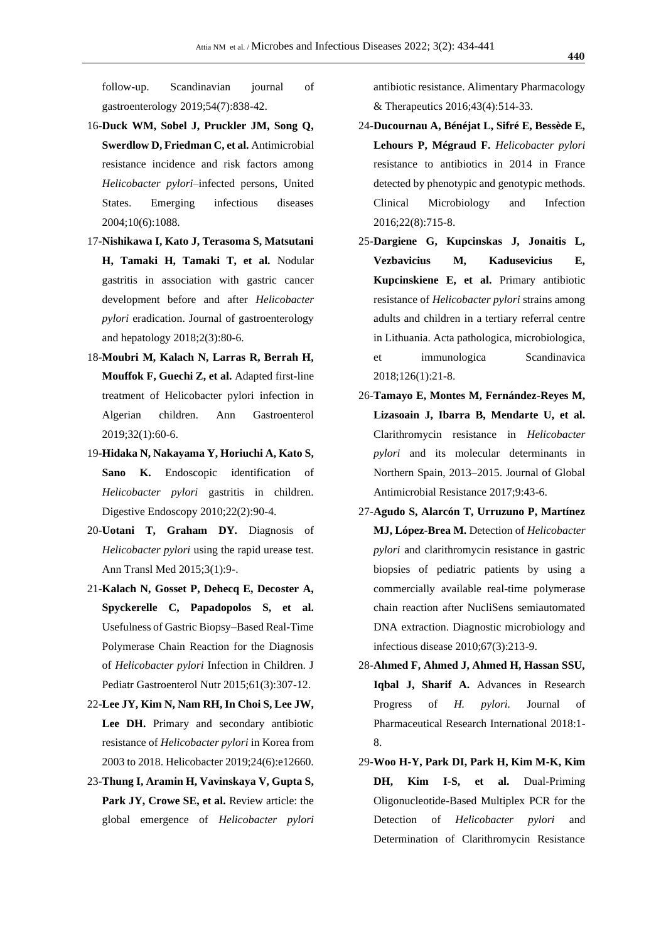follow-up. Scandinavian journal of gastroenterology 2019;54(7):838-42.

- 16-**Duck WM, Sobel J, Pruckler JM, Song Q, Swerdlow D, Friedman C, et al.** Antimicrobial resistance incidence and risk factors among *Helicobacter pylori*–infected persons, United States. Emerging infectious diseases 2004;10(6):1088.
- 17-**Nishikawa I, Kato J, Terasoma S, Matsutani H, Tamaki H, Tamaki T, et al.** Nodular gastritis in association with gastric cancer development before and after *Helicobacter pylori* eradication. Journal of gastroenterology and hepatology 2018;2(3):80-6.
- 18-**Moubri M, Kalach N, Larras R, Berrah H, Mouffok F, Guechi Z, et al.** Adapted first-line treatment of Helicobacter pylori infection in Algerian children. Ann Gastroenterol 2019;32(1):60-6.
- 19-**Hidaka N, Nakayama Y, Horiuchi A, Kato S, Sano K.** Endoscopic identification of *Helicobacter pylori* gastritis in children. Digestive Endoscopy 2010;22(2):90-4.
- 20-**Uotani T, Graham DY.** Diagnosis of *Helicobacter pylori* using the rapid urease test. Ann Transl Med 2015;3(1):9-.
- 21-**Kalach N, Gosset P, Dehecq E, Decoster A, Spyckerelle C, Papadopolos S, et al.** Usefulness of Gastric Biopsy–Based Real-Time Polymerase Chain Reaction for the Diagnosis of *Helicobacter pylori* Infection in Children. J Pediatr Gastroenterol Nutr 2015;61(3):307-12.
- 22-**Lee JY, Kim N, Nam RH, In Choi S, Lee JW, Lee DH.** Primary and secondary antibiotic resistance of *Helicobacter pylori* in Korea from 2003 to 2018. Helicobacter 2019;24(6):e12660.
- 23-**Thung I, Aramin H, Vavinskaya V, Gupta S, Park JY, Crowe SE, et al.** Review article: the global emergence of *Helicobacter pylori*

antibiotic resistance. Alimentary Pharmacology & Therapeutics 2016;43(4):514-33.

- 24-**Ducournau A, Bénéjat L, Sifré E, Bessède E, Lehours P, Mégraud F.** *Helicobacter pylori*  resistance to antibiotics in 2014 in France detected by phenotypic and genotypic methods. Clinical Microbiology and Infection 2016;22(8):715-8.
- 25-**Dargiene G, Kupcinskas J, Jonaitis L, Vezbavicius M, Kadusevicius E, Kupcinskiene E, et al.** Primary antibiotic resistance of *Helicobacter pylori* strains among adults and children in a tertiary referral centre in Lithuania. Acta pathologica, microbiologica, et immunologica Scandinavica 2018;126(1):21-8.
- 26-**Tamayo E, Montes M, Fernández-Reyes M, Lizasoain J, Ibarra B, Mendarte U, et al.** Clarithromycin resistance in *Helicobacter pylori* and its molecular determinants in Northern Spain, 2013–2015. Journal of Global Antimicrobial Resistance 2017;9:43-6.
- 27-**Agudo S, Alarcón T, Urruzuno P, Martínez MJ, López-Brea M.** Detection of *Helicobacter pylori* and clarithromycin resistance in gastric biopsies of pediatric patients by using a commercially available real-time polymerase chain reaction after NucliSens semiautomated DNA extraction. Diagnostic microbiology and infectious disease 2010;67(3):213-9.
- 28-**Ahmed F, Ahmed J, Ahmed H, Hassan SSU, Iqbal J, Sharif A.** Advances in Research Progress of *H. pylori.* Journal of Pharmaceutical Research International 2018:1- 8.
- 29-**Woo H-Y, Park DI, Park H, Kim M-K, Kim DH, Kim I-S, et al.** Dual-Priming Oligonucleotide-Based Multiplex PCR for the Detection of *Helicobacter pylori* and Determination of Clarithromycin Resistance